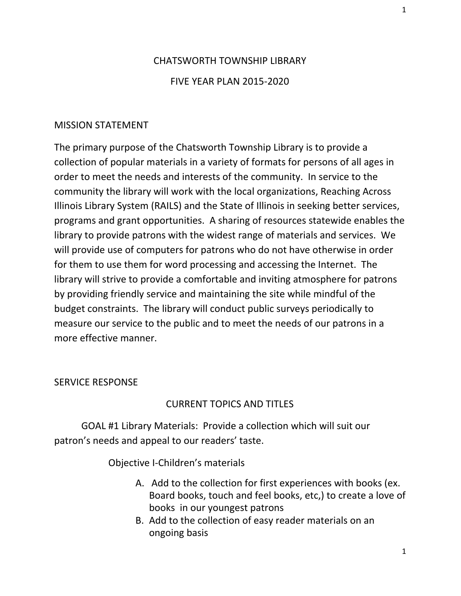## CHATSWORTH TOWNSHIP LIBRARY FIVE YEAR PLAN 2015-2020

## MISSION STATEMENT

The primary purpose of the Chatsworth Township Library is to provide a collection of popular materials in a variety of formats for persons of all ages in order to meet the needs and interests of the community. In service to the community the library will work with the local organizations, Reaching Across Illinois Library System (RAILS) and the State of Illinois in seeking better services, programs and grant opportunities. A sharing of resources statewide enables the library to provide patrons with the widest range of materials and services. We will provide use of computers for patrons who do not have otherwise in order for them to use them for word processing and accessing the Internet. The library will strive to provide a comfortable and inviting atmosphere for patrons by providing friendly service and maintaining the site while mindful of the budget constraints. The library will conduct public surveys periodically to measure our service to the public and to meet the needs of our patrons in a more effective manner.

## SERVICE RESPONSE

## CURRENT TOPICS AND TITLES

GOAL #1 Library Materials: Provide a collection which will suit our patron's needs and appeal to our readers' taste.

Objective I-Children's materials

- A. Add to the collection for first experiences with books (ex. Board books, touch and feel books, etc,) to create a love of books in our youngest patrons
- B. Add to the collection of easy reader materials on an ongoing basis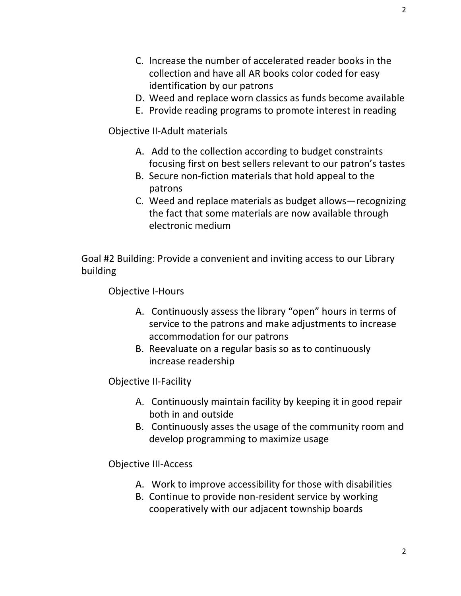2

- C. Increase the number of accelerated reader books in the collection and have all AR books color coded for easy identification by our patrons
- D. Weed and replace worn classics as funds become available
- E. Provide reading programs to promote interest in reading

Objective II-Adult materials

- A. Add to the collection according to budget constraints focusing first on best sellers relevant to our patron's tastes
- B. Secure non-fiction materials that hold appeal to the patrons
- C. Weed and replace materials as budget allows—recognizing the fact that some materials are now available through electronic medium

Goal #2 Building: Provide a convenient and inviting access to our Library building

Objective I-Hours

- A. Continuously assess the library "open" hours in terms of service to the patrons and make adjustments to increase accommodation for our patrons
- B. Reevaluate on a regular basis so as to continuously increase readership

Objective II-Facility

- A. Continuously maintain facility by keeping it in good repair both in and outside
- B. Continuously asses the usage of the community room and develop programming to maximize usage

Objective III-Access

- A. Work to improve accessibility for those with disabilities
- B. Continue to provide non-resident service by working cooperatively with our adjacent township boards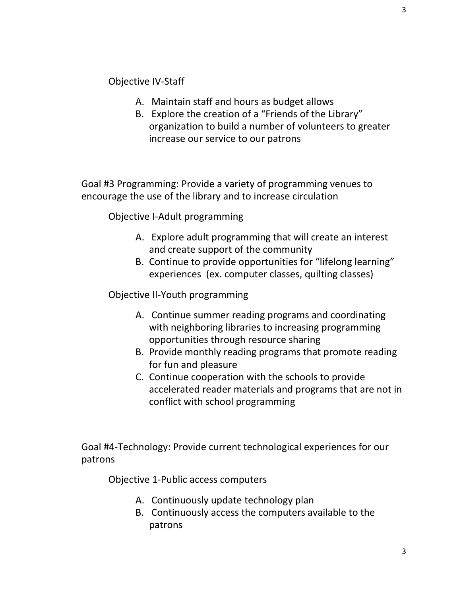Objective IV-Staff

- A. Maintain staff and hours as budget allows
- B. Explore the creation of a "Friends of the Library" organization to build a number of volunteers to greater increase our service to our patrons

Goal #3 Programming: Provide a variety of programming venues to encourage the use of the library and to increase circulation

Objective I-Adult programming

- A. Explore adult programming that will create an interest and create support of the community
- B. Continue to provide opportunities for "lifelong learning" experiences (ex. computer classes, quilting classes)

Objective II-Youth programming

- A. Continue summer reading programs and coordinating with neighboring libraries to increasing programming opportunities through resource sharing
- B. Provide monthly reading programs that promote reading for fun and pleasure
- C. Continue cooperation with the schools to provide accelerated reader materials and programs that are not in conflict with school programming

Goal #4-Technology: Provide current technological experiences for our patrons

Objective 1-Public access computers

- A. Continuously update technology plan
- B. Continuously access the computers available to the patrons